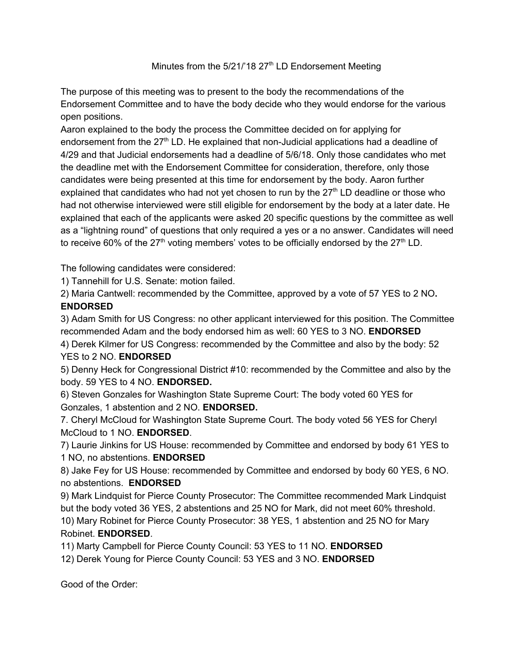## Minutes from the 5/21/'18 27<sup>th</sup> LD Endorsement Meeting

The purpose of this meeting was to present to the body the recommendations of the Endorsement Committee and to have the body decide who they would endorse for the various open positions.

Aaron explained to the body the process the Committee decided on for applying for endorsement from the 27<sup>th</sup> LD. He explained that non-Judicial applications had a deadline of 4/29 and that Judicial endorsements had a deadline of 5/6/18. Only those candidates who met the deadline met with the Endorsement Committee for consideration, therefore, only those candidates were being presented at this time for endorsement by the body. Aaron further explained that candidates who had not yet chosen to run by the  $27<sup>th</sup>$  LD deadline or those who had not otherwise interviewed were still eligible for endorsement by the body at a later date. He explained that each of the applicants were asked 20 specific questions by the committee as well as a "lightning round" of questions that only required a yes or a no answer. Candidates will need to receive 60% of the  $27<sup>th</sup>$  voting members' votes to be officially endorsed by the  $27<sup>th</sup>$  LD.

The following candidates were considered:

1) Tannehill for U.S. Senate: motion failed.

2) Maria Cantwell: recommended by the Committee, approved by a vote of 57 YES to 2 NO**. ENDORSED** 

3) Adam Smith for US Congress: no other applicant interviewed for this position. The Committee recommended Adam and the body endorsed him as well: 60 YES to 3 NO. **ENDORSED** 

4) Derek Kilmer for US Congress: recommended by the Committee and also by the body: 52 YES to 2 NO. **ENDORSED** 

5) Denny Heck for Congressional District #10: recommended by the Committee and also by the body. 59 YES to 4 NO. **ENDORSED.** 

6) Steven Gonzales for Washington State Supreme Court: The body voted 60 YES for Gonzales, 1 abstention and 2 NO. **ENDORSED.** 

7. Cheryl McCloud for Washington State Supreme Court. The body voted 56 YES for Cheryl McCloud to 1 NO. **ENDORSED**.

7) Laurie Jinkins for US House: recommended by Committee and endorsed by body 61 YES to 1 NO, no abstentions. **ENDORSED** 

8) Jake Fey for US House: recommended by Committee and endorsed by body 60 YES, 6 NO. no abstentions. **ENDORSED** 

9) Mark Lindquist for Pierce County Prosecutor: The Committee recommended Mark Lindquist but the body voted 36 YES, 2 abstentions and 25 NO for Mark, did not meet 60% threshold. 10) Mary Robinet for Pierce County Prosecutor: 38 YES, 1 abstention and 25 NO for Mary Robinet. **ENDORSED**.

11) Marty Campbell for Pierce County Council: 53 YES to 11 NO. **ENDORSED** 

12) Derek Young for Pierce County Council: 53 YES and 3 NO. **ENDORSED** 

Good of the Order: